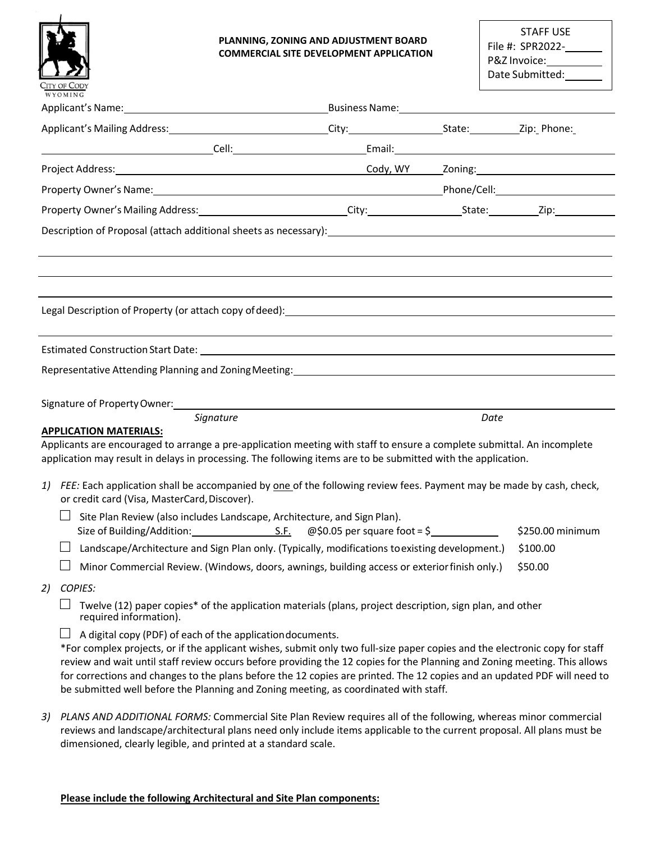

#### **PLANNING, ZONING AND ADJUSTMENT BOARD COMMERCIAL SITE DEVELOPMENT APPLICATION**

| <b>STAFF USE</b> |  |
|------------------|--|
| File #: SPR2022- |  |
| P&Z Invoice:     |  |
| Date Submitted:  |  |

| Applicant's Mailing Address: 1990 1991 1992 City: City: City: 1993 1994 1994 1995 1996 1997 1998 199                                                                                                                                     |                                                                                                                                                                                                                                                                                                                                                  |      |                  |
|------------------------------------------------------------------------------------------------------------------------------------------------------------------------------------------------------------------------------------------|--------------------------------------------------------------------------------------------------------------------------------------------------------------------------------------------------------------------------------------------------------------------------------------------------------------------------------------------------|------|------------------|
|                                                                                                                                                                                                                                          |                                                                                                                                                                                                                                                                                                                                                  |      |                  |
|                                                                                                                                                                                                                                          |                                                                                                                                                                                                                                                                                                                                                  |      |                  |
|                                                                                                                                                                                                                                          |                                                                                                                                                                                                                                                                                                                                                  |      |                  |
|                                                                                                                                                                                                                                          |                                                                                                                                                                                                                                                                                                                                                  |      |                  |
| Description of Proposal (attach additional sheets as necessary): 1992 1994 1997 1998 1999 1999 1999 1999 1999 1                                                                                                                          |                                                                                                                                                                                                                                                                                                                                                  |      |                  |
|                                                                                                                                                                                                                                          |                                                                                                                                                                                                                                                                                                                                                  |      |                  |
|                                                                                                                                                                                                                                          |                                                                                                                                                                                                                                                                                                                                                  |      |                  |
|                                                                                                                                                                                                                                          |                                                                                                                                                                                                                                                                                                                                                  |      |                  |
|                                                                                                                                                                                                                                          |                                                                                                                                                                                                                                                                                                                                                  |      |                  |
| Signature<br><b>APPLICATION MATERIALS:</b>                                                                                                                                                                                               |                                                                                                                                                                                                                                                                                                                                                  | Date |                  |
| Applicants are encouraged to arrange a pre-application meeting with staff to ensure a complete submittal. An incomplete<br>application may result in delays in processing. The following items are to be submitted with the application. |                                                                                                                                                                                                                                                                                                                                                  |      |                  |
| FEE: Each application shall be accompanied by one of the following review fees. Payment may be made by cash, check,<br>1)<br>or credit card (Visa, MasterCard, Discover).                                                                |                                                                                                                                                                                                                                                                                                                                                  |      |                  |
|                                                                                                                                                                                                                                          | Site Plan Review (also includes Landscape, Architecture, and Sign Plan).                                                                                                                                                                                                                                                                         |      | \$250.00 minimum |
|                                                                                                                                                                                                                                          | Landscape/Architecture and Sign Plan only. (Typically, modifications to existing development.)                                                                                                                                                                                                                                                   |      | \$100.00         |
|                                                                                                                                                                                                                                          | Minor Commercial Review. (Windows, doors, awnings, building access or exterior finish only.)                                                                                                                                                                                                                                                     |      | \$50.00          |
| <b>COPIES:</b><br>2)                                                                                                                                                                                                                     |                                                                                                                                                                                                                                                                                                                                                  |      |                  |
| required information).                                                                                                                                                                                                                   | Twelve (12) paper copies* of the application materials (plans, project description, sign plan, and other                                                                                                                                                                                                                                         |      |                  |
| A digital copy (PDF) of each of the application documents.<br>for corrections and changes to the plans before the 12 copies are printed. The 12 copies and an updated PDF will need to                                                   | *For complex projects, or if the applicant wishes, submit only two full-size paper copies and the electronic copy for staff<br>review and wait until staff review occurs before providing the 12 copies for the Planning and Zoning meeting. This allows<br>be submitted well before the Planning and Zoning meeting, as coordinated with staff. |      |                  |
| 2) PLANS AND ADDITIONAL FORMS: Commercial Site Plan Review requires all of the following whereas minor commercial                                                                                                                        |                                                                                                                                                                                                                                                                                                                                                  |      |                  |

*3) PLANS AND ADDITIONAL FORMS:* Commercial Site Plan Review requires all of the following, whereas minor commercial reviews and landscape/architectural plans need only include items applicable to the current proposal. All plans must be dimensioned, clearly legible, and printed at a standard scale.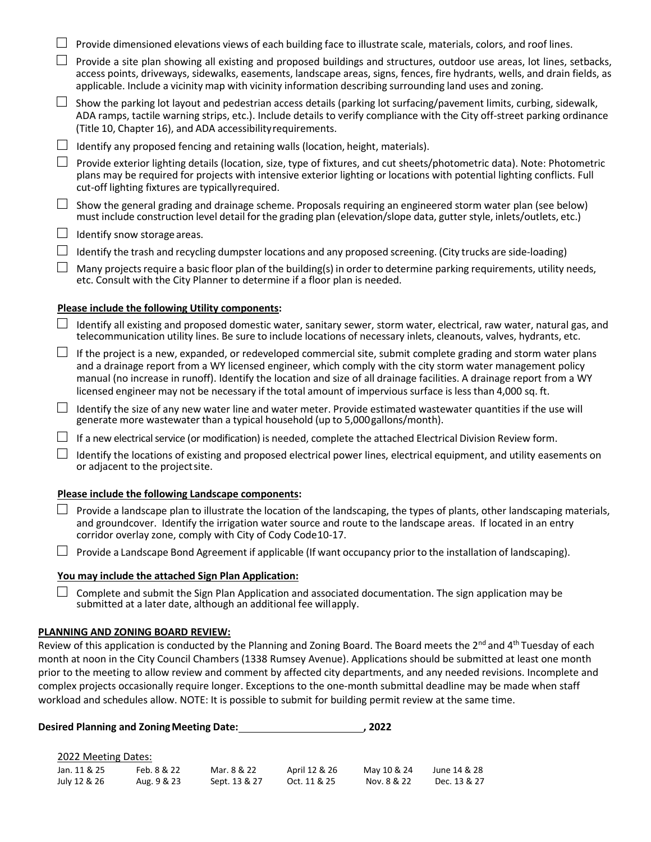|        | Provide dimensioned elevations views of each building face to illustrate scale, materials, colors, and roof lines.                                                                                                                                                                                                                                                                                                                                                       |
|--------|--------------------------------------------------------------------------------------------------------------------------------------------------------------------------------------------------------------------------------------------------------------------------------------------------------------------------------------------------------------------------------------------------------------------------------------------------------------------------|
|        | Provide a site plan showing all existing and proposed buildings and structures, outdoor use areas, lot lines, setbacks,<br>access points, driveways, sidewalks, easements, landscape areas, signs, fences, fire hydrants, wells, and drain fields, as<br>applicable. Include a vicinity map with vicinity information describing surrounding land uses and zoning.                                                                                                       |
|        | Show the parking lot layout and pedestrian access details (parking lot surfacing/pavement limits, curbing, sidewalk,<br>ADA ramps, tactile warning strips, etc.). Include details to verify compliance with the City off-street parking ordinance<br>(Title 10, Chapter 16), and ADA accessibility requirements.                                                                                                                                                         |
|        | Identify any proposed fencing and retaining walls (location, height, materials).                                                                                                                                                                                                                                                                                                                                                                                         |
|        | Provide exterior lighting details (location, size, type of fixtures, and cut sheets/photometric data). Note: Photometric<br>plans may be required for projects with intensive exterior lighting or locations with potential lighting conflicts. Full<br>cut-off lighting fixtures are typicallyrequired.                                                                                                                                                                 |
|        | Show the general grading and drainage scheme. Proposals requiring an engineered storm water plan (see below)<br>must include construction level detail for the grading plan (elevation/slope data, gutter style, inlets/outlets, etc.)                                                                                                                                                                                                                                   |
| ⊔      | Identify snow storage areas.                                                                                                                                                                                                                                                                                                                                                                                                                                             |
|        | Identify the trash and recycling dumpster locations and any proposed screening. (City trucks are side-loading)                                                                                                                                                                                                                                                                                                                                                           |
|        | Many projects require a basic floor plan of the building(s) in order to determine parking requirements, utility needs,<br>etc. Consult with the City Planner to determine if a floor plan is needed.                                                                                                                                                                                                                                                                     |
|        |                                                                                                                                                                                                                                                                                                                                                                                                                                                                          |
|        | Please include the following Utility components:                                                                                                                                                                                                                                                                                                                                                                                                                         |
|        | Identify all existing and proposed domestic water, sanitary sewer, storm water, electrical, raw water, natural gas, and<br>telecommunication utility lines. Be sure to include locations of necessary inlets, cleanouts, valves, hydrants, etc.                                                                                                                                                                                                                          |
|        | If the project is a new, expanded, or redeveloped commercial site, submit complete grading and storm water plans<br>and a drainage report from a WY licensed engineer, which comply with the city storm water management policy<br>manual (no increase in runoff). Identify the location and size of all drainage facilities. A drainage report from a WY<br>licensed engineer may not be necessary if the total amount of impervious surface is less than 4,000 sq. ft. |
| $\Box$ | Identify the size of any new water line and water meter. Provide estimated wastewater quantities if the use will<br>generate more wastewater than a typical household (up to 5,000 gallons/month).                                                                                                                                                                                                                                                                       |
|        | If a new electrical service (or modification) is needed, complete the attached Electrical Division Review form.                                                                                                                                                                                                                                                                                                                                                          |
|        | Identify the locations of existing and proposed electrical power lines, electrical equipment, and utility easements on<br>or adjacent to the project site.                                                                                                                                                                                                                                                                                                               |
|        | Please include the following Landscape components:                                                                                                                                                                                                                                                                                                                                                                                                                       |
|        | Provide a landscape plan to illustrate the location of the landscaping, the types of plants, other landscaping materials,<br>and groundcover. Identify the irrigation water source and route to the landscape areas. If located in an entry<br>corridor overlay zone, comply with City of Cody Code10-17.                                                                                                                                                                |
|        | Provide a Landscape Bond Agreement if applicable (If want occupancy prior to the installation of landscaping).                                                                                                                                                                                                                                                                                                                                                           |

#### **You may include the attached Sign Plan Application:**

 $\Box$  Complete and submit the Sign Plan Application and associated documentation. The sign application may be submitted at a later date, although an additional fee willapply.

#### **PLANNING AND ZONING BOARD REVIEW:**

Review of this application is conducted by the Planning and Zoning Board. The Board meets the 2<sup>nd</sup> and 4<sup>th</sup> Tuesday of each month at noon in the City Council Chambers (1338 Rumsey Avenue). Applications should be submitted at least one month prior to the meeting to allow review and comment by affected city departments, and any needed revisions. Incomplete and complex projects occasionally require longer. Exceptions to the one-month submittal deadline may be made when staff workload and schedules allow. NOTE: It is possible to submit for building permit review at the same time.

| <b>Desired Planning and Zoning Meeting Date:</b> |             |               |               | 2022        |              |
|--------------------------------------------------|-------------|---------------|---------------|-------------|--------------|
| 2022 Meeting Dates:                              |             |               |               |             |              |
| Jan. 11 & 25                                     | Feb. 8 & 22 | Mar. 8 & 22   | April 12 & 26 | May 10 & 24 | June 14 & 28 |
| July 12 & 26                                     | Aug. 9 & 23 | Sept. 13 & 27 | Oct. 11 & 25  | Nov. 8 & 22 | Dec. 13 & 27 |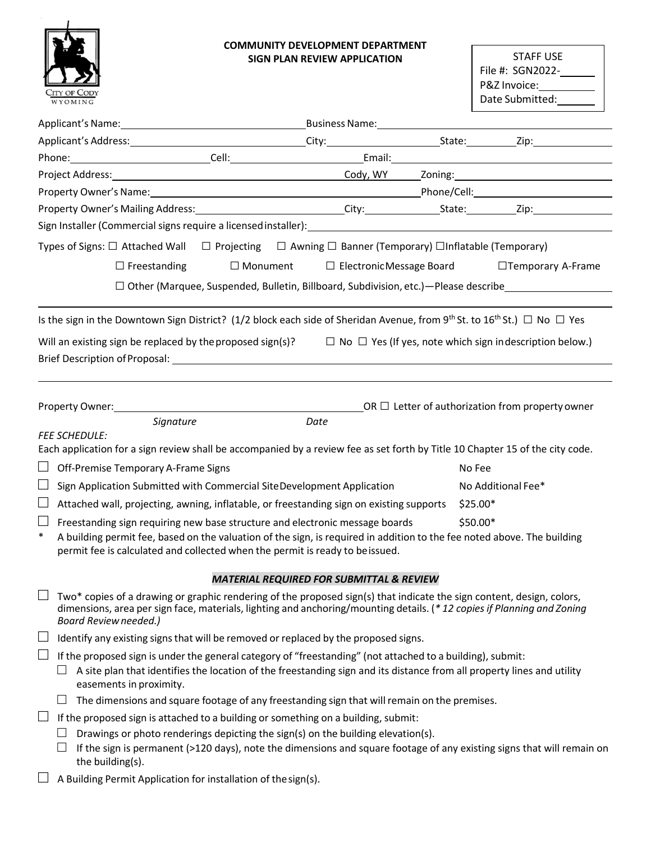

## **COMMUNITY DEVELOPMENT DEPARTMENT SIGN PLAN REVIEW APPLICATION**

STAFF USE File #: SGN2022-P&Z Invoice: Date Submitted:

| Property Owner's Name: 1990 Contract Communication of Phone (Cell: 2008) Phone (Cell:                                                                      |                                                                                           |           |                                                              |
|------------------------------------------------------------------------------------------------------------------------------------------------------------|-------------------------------------------------------------------------------------------|-----------|--------------------------------------------------------------|
|                                                                                                                                                            |                                                                                           |           |                                                              |
|                                                                                                                                                            |                                                                                           |           |                                                              |
| Types of Signs: $\Box$ Attached Wall $\Box$ Projecting $\Box$ Awning $\Box$ Banner (Temporary) $\Box$ Inflatable (Temporary)                               |                                                                                           |           |                                                              |
| $\Box$ Freestanding                                                                                                                                        | $\Box$ Monument $\Box$ Electronic Message Board                                           |           | □Temporary A-Frame                                           |
|                                                                                                                                                            | $\Box$ Other (Marquee, Suspended, Bulletin, Billboard, Subdivision, etc.)—Please describe |           |                                                              |
| Is the sign in the Downtown Sign District? (1/2 block each side of Sheridan Avenue, from 9 <sup>th</sup> St. to 16 <sup>th</sup> St.) $\Box$ No $\Box$ Yes |                                                                                           |           |                                                              |
|                                                                                                                                                            |                                                                                           |           |                                                              |
| Will an existing sign be replaced by the proposed sign(s)? $\square$ No $\square$ Yes (If yes, note which sign indescription below.)                       |                                                                                           |           |                                                              |
|                                                                                                                                                            |                                                                                           |           |                                                              |
|                                                                                                                                                            |                                                                                           |           |                                                              |
|                                                                                                                                                            |                                                                                           |           | $\Box$ DR $\Box$ Letter of authorization from property owner |
| Signature                                                                                                                                                  | Date                                                                                      |           |                                                              |
| <b>FEE SCHEDULE:</b><br>Each application for a sign review shall be accompanied by a review fee as set forth by Title 10 Chapter 15 of the city code.      |                                                                                           |           |                                                              |
| Off-Premise Temporary A-Frame Signs                                                                                                                        |                                                                                           | No Fee    |                                                              |
| Sign Application Submitted with Commercial SiteDevelopment Application                                                                                     |                                                                                           |           | No Additional Fee*                                           |
| $\mathcal{L}_{\mathcal{A}}$<br>Attached wall, projecting, awning, inflatable, or freestanding sign on existing supports                                    |                                                                                           | $$25.00*$ |                                                              |
| $\Box$<br>Freestanding sign requiring new base structure and electronic message boards                                                                     |                                                                                           | \$50.00*  |                                                              |
| $\ast$<br>A building permit fee, based on the valuation of the sign, is required in addition to the fee noted above. The building                          |                                                                                           |           |                                                              |
| permit fee is calculated and collected when the permit is ready to be issued.                                                                              |                                                                                           |           |                                                              |
|                                                                                                                                                            | <b>MATERIAL REQUIRED FOR SUBMITTAL &amp; REVIEW</b>                                       |           |                                                              |
| Two* copies of a drawing or graphic rendering of the proposed sign(s) that indicate the sign content, design, colors,                                      |                                                                                           |           |                                                              |
| dimensions, area per sign face, materials, lighting and anchoring/mounting details. (*12 copies if Planning and Zoning<br><b>Board Review needed.)</b>     |                                                                                           |           |                                                              |
| $\Box$<br>Identify any existing signs that will be removed or replaced by the proposed signs.                                                              |                                                                                           |           |                                                              |
| If the proposed sign is under the general category of "freestanding" (not attached to a building), submit:                                                 |                                                                                           |           |                                                              |
| A site plan that identifies the location of the freestanding sign and its distance from all property lines and utility                                     |                                                                                           |           |                                                              |
| easements in proximity.<br>The dimensions and square footage of any freestanding sign that will remain on the premises.                                    |                                                                                           |           |                                                              |
| $\mathcal{L}_{\mathcal{A}}$<br>If the proposed sign is attached to a building or something on a building, submit:                                          |                                                                                           |           |                                                              |
| Drawings or photo renderings depicting the sign(s) on the building elevation(s).                                                                           |                                                                                           |           |                                                              |
| If the sign is permanent (>120 days), note the dimensions and square footage of any existing signs that will remain on<br>the building(s).                 |                                                                                           |           |                                                              |
| A Building Permit Application for installation of the sign(s).                                                                                             |                                                                                           |           |                                                              |
|                                                                                                                                                            |                                                                                           |           |                                                              |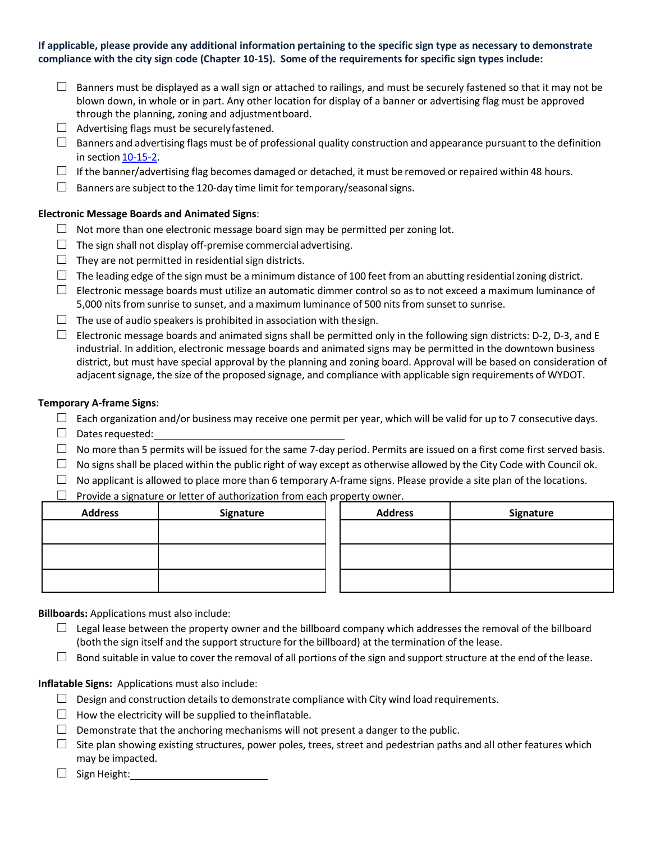## **If applicable, please provide any additional information pertaining to the specific sign type as necessary to demonstrate compliance with the city sign code (Chapter 10-15). Some of the requirements for specific sign types include:**

- $\Box$  Banners must be displayed as a wall sign or attached to railings, and must be securely fastened so that it may not be blown down, in whole or in part. Any other location for display of a banner or advertising flag must be approved through the planning, zoning and adjustmentboard.
- $\Box$  Advertising flags must be securely fastened.
- $\square$  Banners and advertising flags must be of professional quality construction and appearance pursuant to the definition in section 10-15-2.
- $\Box$  If the ba[nner/adver](http://www.sterlingcodifiers.com/codebook/getBookData.php?ft=3&amp%3Bfind=10-15-2)tising flag becomes damaged or detached, it must be removed or repaired within 48 hours.
- $\Box$  Banners are subject to the 120-day time limit for temporary/seasonal signs.

## **Electronic Message Boards and Animated Signs**:

- $\Box$  Not more than one electronic message board sign may be permitted per zoning lot.
- $\Box$  The sign shall not display off-premise commercial advertising.
- $\Box$  They are not permitted in residential sign districts.
- $\Box$  The leading edge of the sign must be a minimum distance of 100 feet from an abutting residential zoning district.
- $\square$  Electronic message boards must utilize an automatic dimmer control so as to not exceed a maximum luminance of 5,000 nits from sunrise to sunset, and a maximum luminance of 500 nits from sunset to sunrise.
- $\Box$  The use of audio speakers is prohibited in association with the sign.
- $\Box$  Electronic message boards and animated signs shall be permitted only in the following sign districts: D-2, D-3, and E industrial. In addition, electronic message boards and animated signs may be permitted in the downtown business district, but must have special approval by the planning and zoning board. Approval will be based on consideration of adjacent signage, the size of the proposed signage, and compliance with applicable sign requirements of WYDOT.

## **Temporary A-frame Signs**:

- $\square$  Each organization and/or business may receive one permit per year, which will be valid for up to 7 consecutive days.
- □ Dates requested:
- $\Box$  No more than 5 permits will be issued for the same 7-day period. Permits are issued on a first come first served basis.
- $\Box$  No signs shall be placed within the public right of way except as otherwise allowed by the City Code with Council ok.
- $\Box$  No applicant is allowed to place more than 6 temporary A-frame signs. Please provide a site plan of the locations.
- $\Box$  Provide a signature or letter of authorization from each property owner.

| <b>Address</b> | Signature | <b>Address</b> | Signature |
|----------------|-----------|----------------|-----------|
|                |           |                |           |
|                |           |                |           |
|                |           |                |           |
|                |           |                |           |
|                |           |                |           |

## **Billboards:** Applications must also include:

- $\Box$  Legal lease between the property owner and the billboard company which addresses the removal of the billboard (both the sign itself and the support structure for the billboard) at the termination of the lease.
- $\Box$  Bond suitable in value to cover the removal of all portions of the sign and support structure at the end of the lease.

**Inflatable Signs:** Applications must also include:

- $\Box$  Design and construction details to demonstrate compliance with City wind load requirements.
- $\Box$  How the electricity will be supplied to the inflatable.
- $\Box$  Demonstrate that the anchoring mechanisms will not present a danger to the public.
- $\square$  Site plan showing existing structures, power poles, trees, street and pedestrian paths and all other features which may be impacted.
- □ Sign Height: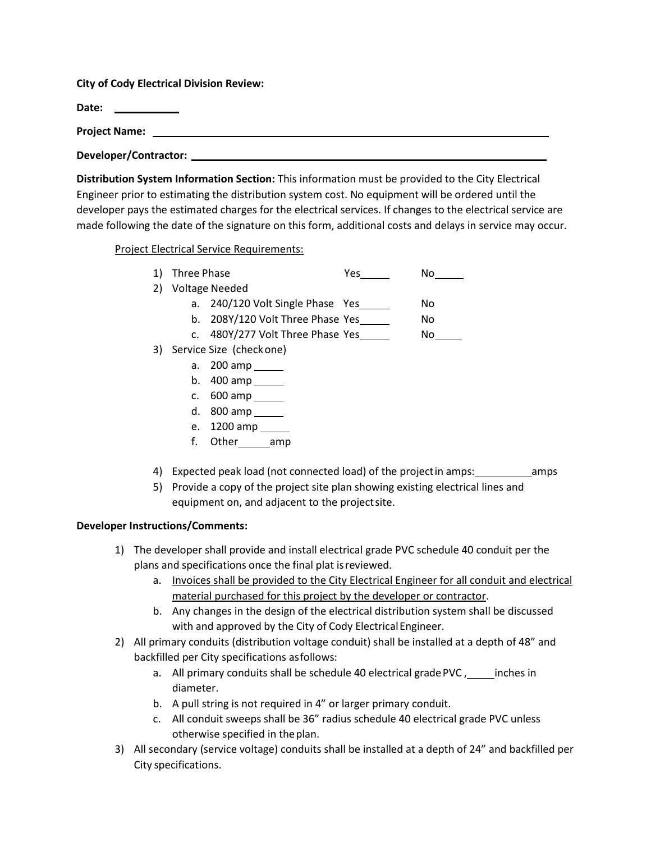**City of Cody Electrical Division Review:** 

**Date:** 

**Project Name:** 

**Developer/Contractor:** 

**Distribution System Information Section:** This information must be provided to the City Electrical Engineer prior to estimating the distribution system cost. No equipment will be ordered until the developer pays the estimated charges for the electrical services. If changes to the electrical service are made following the date of the signature on this form, additional costs and delays in service may occur.

Project Electrical Service Requirements:

| 1) Three Phase<br>Yes | N٥ |
|-----------------------|----|
|-----------------------|----|

- 2) Voltage Needed
	- a. 240/120 Volt Single Phase Yes No
	- b. 208Y/120 Volt Three Phase Yes No
	- c. 480Y/277 Volt Three Phase Yes No
- 3) Service Size (checkone)
	- a. 200 amp
	- b. 400 amp
	- c. 600 amp
	- d. 800 amp
	- e. 1200 amp
	- f. Other amp
- 4) Expected peak load (not connected load) of the projectin amps: \_\_\_\_\_\_\_\_\_\_\_\_\_\_\_ amps
- 5) Provide a copy of the project site plan showing existing electrical lines and equipment on, and adjacent to the projectsite.

# **Developer Instructions/Comments:**

- 1) The developer shall provide and install electrical grade PVC schedule 40 conduit per the plans and specifications once the final plat isreviewed.
	- a. Invoices shall be provided to the City Electrical Engineer for all conduit and electrical material purchased for this project by the developer or contractor.
	- b. Any changes in the design of the electrical distribution system shall be discussed with and approved by the City of Cody Electrical Engineer.
- 2) All primary conduits (distribution voltage conduit) shall be installed at a depth of 48" and backfilled per City specifications asfollows:
	- a. All primary conduits shall be schedule 40 electrical grade PVC, inches in diameter.
	- b. A pull string is not required in 4" or larger primary conduit.
	- c. All conduit sweeps shall be 36" radius schedule 40 electrical grade PVC unless otherwise specified in theplan.
- 3) All secondary (service voltage) conduits shall be installed at a depth of 24" and backfilled per City specifications.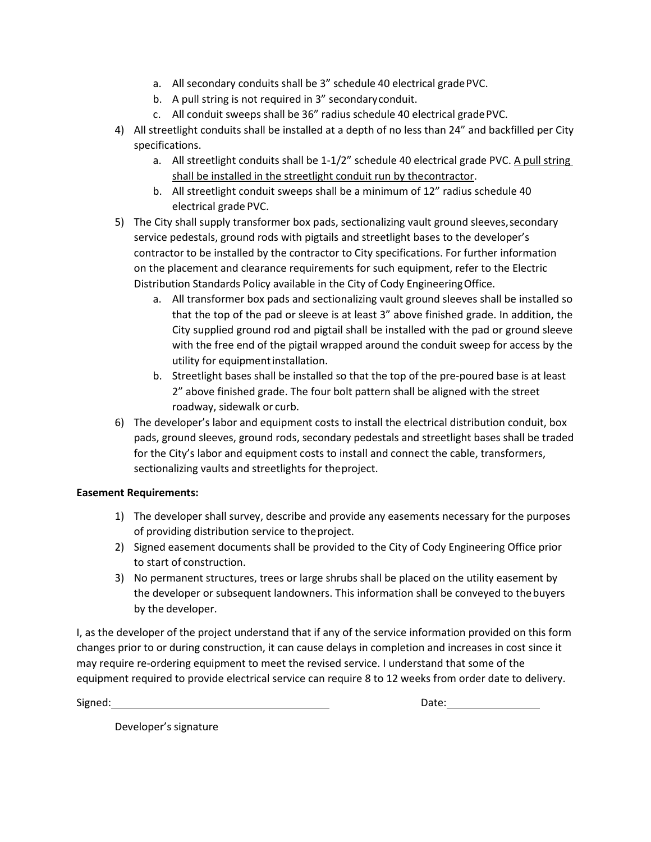- a. All secondary conduits shall be 3" schedule 40 electrical gradePVC.
- b. A pull string is not required in 3" secondaryconduit.
- c. All conduit sweeps shall be 36" radius schedule 40 electrical gradePVC.
- 4) All streetlight conduits shall be installed at a depth of no less than 24" and backfilled per City specifications.
	- a. All streetlight conduits shall be 1-1/2" schedule 40 electrical grade PVC. A pull string shall be installed in the streetlight conduit run by thecontractor.
	- b. All streetlight conduit sweeps shall be a minimum of 12" radius schedule 40 electrical grade PVC.
- 5) The City shall supply transformer box pads, sectionalizing vault ground sleeves, secondary service pedestals, ground rods with pigtails and streetlight bases to the developer's contractor to be installed by the contractor to City specifications. For further information on the placement and clearance requirements for such equipment, refer to the Electric Distribution Standards Policy available in the City of Cody EngineeringOffice.
	- a. All transformer box pads and sectionalizing vault ground sleeves shall be installed so that the top of the pad or sleeve is at least 3" above finished grade. In addition, the City supplied ground rod and pigtail shall be installed with the pad or ground sleeve with the free end of the pigtail wrapped around the conduit sweep for access by the utility for equipmentinstallation.
	- b. Streetlight bases shall be installed so that the top of the pre-poured base is at least 2" above finished grade. The four bolt pattern shall be aligned with the street roadway, sidewalk or curb.
- 6) The developer's labor and equipment costs to install the electrical distribution conduit, box pads, ground sleeves, ground rods, secondary pedestals and streetlight bases shall be traded for the City's labor and equipment costs to install and connect the cable, transformers, sectionalizing vaults and streetlights for theproject.

## **Easement Requirements:**

- 1) The developer shall survey, describe and provide any easements necessary for the purposes of providing distribution service to theproject.
- 2) Signed easement documents shall be provided to the City of Cody Engineering Office prior to start of construction.
- 3) No permanent structures, trees or large shrubs shall be placed on the utility easement by the developer or subsequent landowners. This information shall be conveyed to thebuyers by the developer.

I, as the developer of the project understand that if any of the service information provided on this form changes prior to or during construction, it can cause delays in completion and increases in cost since it may require re-ordering equipment to meet the revised service. I understand that some of the equipment required to provide electrical service can require 8 to 12 weeks from order date to delivery.

Signed: Date:

Developer's signature